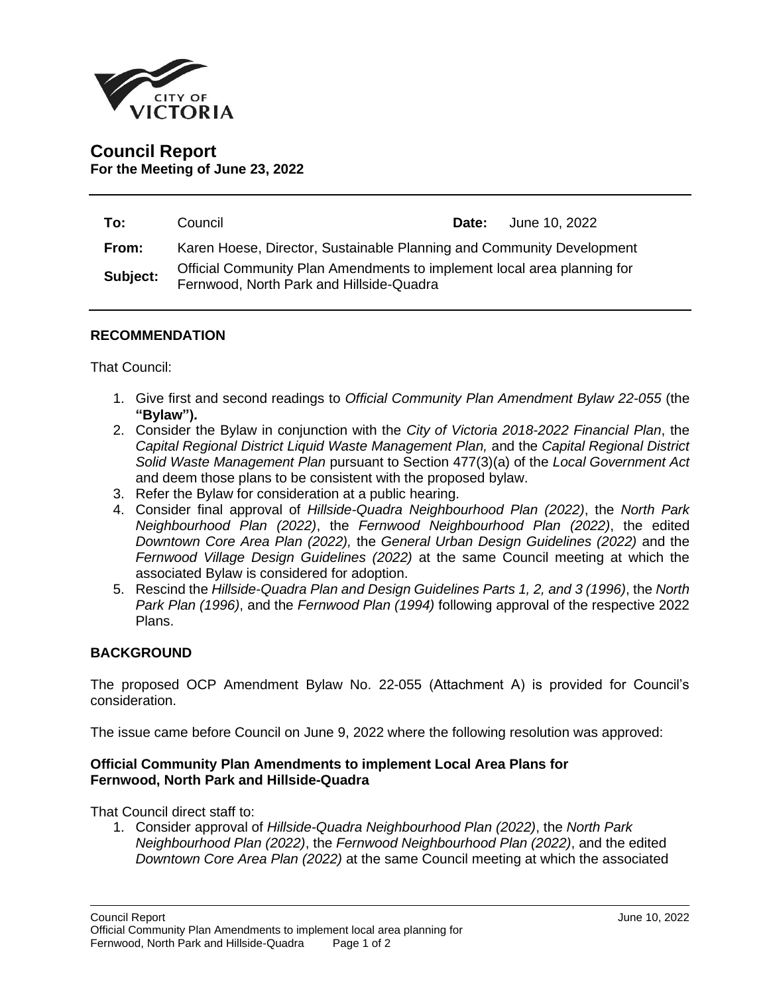

# **Council Report For the Meeting of June 23, 2022**

| To:      | Council                                                                                                             |  | <b>Date:</b> June 10, 2022 |
|----------|---------------------------------------------------------------------------------------------------------------------|--|----------------------------|
| From:    | Karen Hoese, Director, Sustainable Planning and Community Development                                               |  |                            |
| Subject: | Official Community Plan Amendments to implement local area planning for<br>Fernwood, North Park and Hillside-Quadra |  |                            |

## **RECOMMENDATION**

That Council:

- 1. Give first and second readings to *Official Community Plan Amendment Bylaw 22-055* (the **"Bylaw")***.*
- 2. Consider the Bylaw in conjunction with the *City of Victoria 2018-2022 Financial Plan*, the *Capital Regional District Liquid Waste Management Plan,* and the *Capital Regional District Solid Waste Management Plan* pursuant to Section 477(3)(a) of the *Local Government Act* and deem those plans to be consistent with the proposed bylaw.
- 3. Refer the Bylaw for consideration at a public hearing.
- 4. Consider final approval of *Hillside-Quadra Neighbourhood Plan (2022)*, the *North Park Neighbourhood Plan (2022)*, the *Fernwood Neighbourhood Plan (2022)*, the edited *Downtown Core Area Plan (2022),* the *General Urban Design Guidelines (2022)* and the *Fernwood Village Design Guidelines (2022)* at the same Council meeting at which the associated Bylaw is considered for adoption.
- 5. Rescind the *Hillside-Quadra Plan and Design Guidelines Parts 1, 2, and 3 (1996)*, the *North Park Plan (1996)*, and the *Fernwood Plan (1994)* following approval of the respective 2022 Plans.

#### **BACKGROUND**

The proposed OCP Amendment Bylaw No. 22-055 (Attachment A) is provided for Council's consideration.

The issue came before Council on June 9, 2022 where the following resolution was approved:

## **Official Community Plan Amendments to implement Local Area Plans for Fernwood, North Park and Hillside-Quadra**

That Council direct staff to:

1. Consider approval of *Hillside-Quadra Neighbourhood Plan (2022)*, the *North Park Neighbourhood Plan (2022)*, the *Fernwood Neighbourhood Plan (2022)*, and the edited *Downtown Core Area Plan (2022)* at the same Council meeting at which the associated